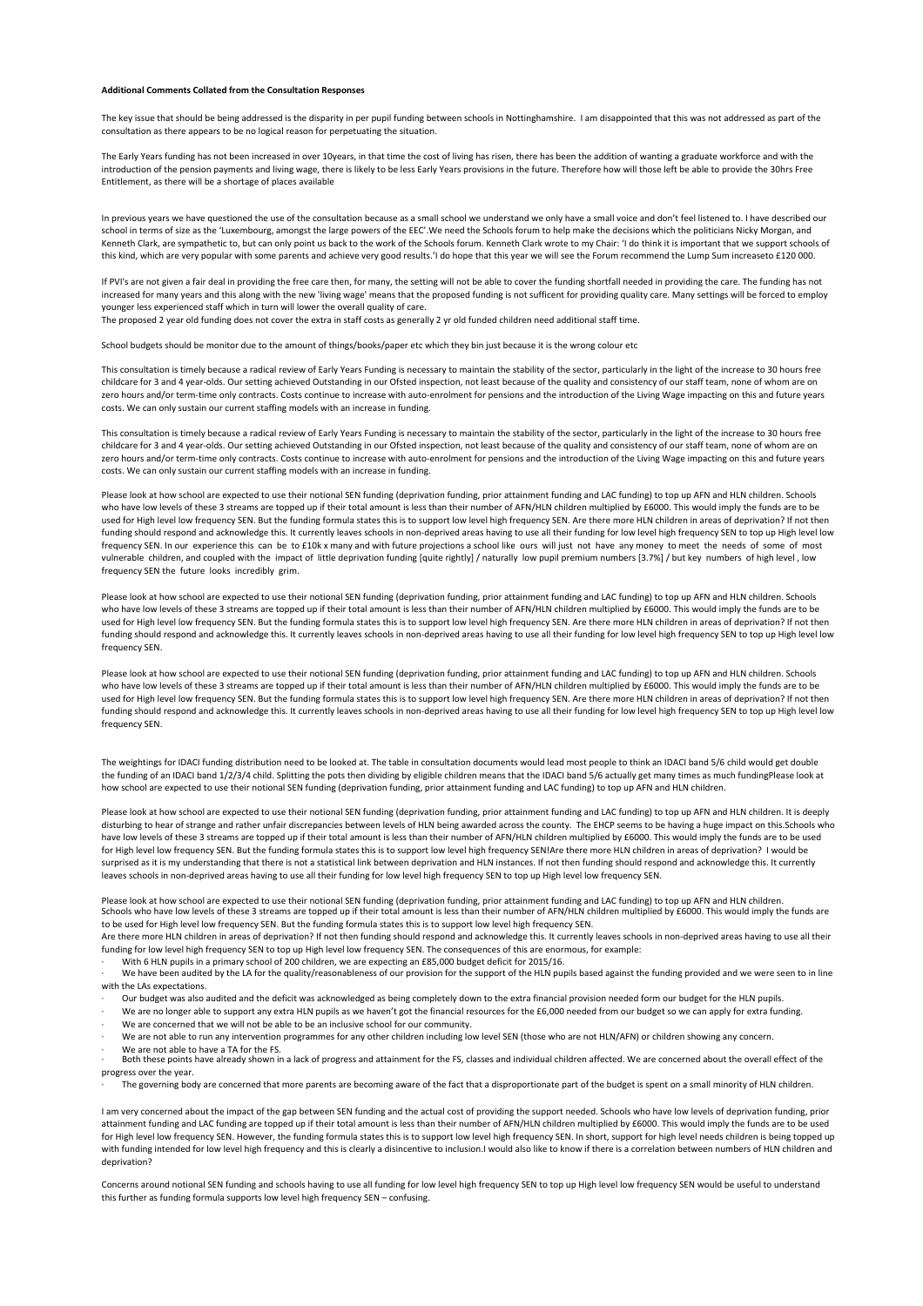## **Additional Comments Collated from the Consultation Responses**

The key issue that should be being addressed is the disparity in per pupil funding between schools in Nottinghamshire. I am disappointed that this was not addressed as part of the consultation as there appears to be no logical reason for perpetuating the situation.

The Early Years funding has not been increased in over 10years, in that time the cost of living has risen, there has been the addition of wanting a graduate workforce and with the introduction of the pension payments and living wage, there is likely to be less Early Years provisions in the future. Therefore how will those left be able to provide the 30hrs Free Entitlement, as there will be a shortage of places available

In previous years we have questioned the use of the consultation because as a small school we understand we only have a small voice and don't feel listened to. I have described our school in terms of size as the 'Luxembourg, amongst the large powers of the EEC'.We need the Schools forum to help make the decisions which the politicians Nicky Morgan, and Kenneth Clark, are sympathetic to, but can only point us back to the work of the Schools forum. Kenneth Clark wrote to my Chair: 'I do think it is important that we support schools of this kind, which are very popular with some parents and achieve very good results.'I do hope that this year we will see the Forum recommend the Lump Sum increaseto £120 000.

If PVI's are not given a fair deal in providing the free care then, for many, the setting will not be able to cover the funding shortfall needed in providing the care. The funding has not increased for many years and this along with the new 'living wage' means that the proposed funding is not sufficent for providing quality care. Many settings will be forced to employ younger less experienced staff which in turn will lower the overall quality of care. The proposed 2 year old funding does not cover the extra in staff costs as generally 2 yr old funded children need additional staff time.

School budgets should be monitor due to the amount of things/books/paper etc which they bin just because it is the wrong colour etc

This consultation is timely because a radical review of Early Years Funding is necessary to maintain the stability of the sector, particularly in the light of the increase to 30 hours free childcare for 3 and 4 year-olds. Our setting achieved Outstanding in our Ofsted inspection, not least because of the quality and consistency of our staff team, none of whom are on zero hours and/or term-time only contracts. Costs continue to increase with auto-enrolment for pensions and the introduction of the Living Wage impacting on this and future years costs. We can only sustain our current staffing models with an increase in funding.

This consultation is timely because a radical review of Early Years Funding is necessary to maintain the stability of the sector, particularly in the light of the increase to 30 hours free childcare for 3 and 4 year-olds. Our setting achieved Outstanding in our Ofsted inspection, not least because of the quality and consistency of our staff team, none of whom are on zero hours and/or term-time only contracts. Costs continue to increase with auto-enrolment for pensions and the introduction of the Living Wage impacting on this and future years costs. We can only sustain our current staffing models with an increase in funding.

Please look at how school are expected to use their notional SEN funding (deprivation funding, prior attainment funding and LAC funding) to top up AFN and HLN children. Schools who have low levels of these 3 streams are topped up if their total amount is less than their number of AFN/HLN children multiplied by £6000. This would imply the funds are to be used for High level low frequency SEN. But the funding formula states this is to support low level high frequency SEN. Are there more HLN children in areas of deprivation? If not then funding should respond and acknowledge this. It currently leaves schools in non-deprived areas having to use all their funding for low level high frequency SEN to top up High level low frequency SEN. In our experience this can be to £10k x many and with future projections a school like ours will just not have any money to meet the needs of some of most vulnerable children, and coupled with the impact of little deprivation funding [quite rightly] / naturally low pupil premium numbers [3.7%] / but key numbers of high level , low frequency SEN the future looks incredibly grim.

Please look at how school are expected to use their notional SEN funding (deprivation funding, prior attainment funding and LAC funding) to top up AFN and HLN children. Schools who have low levels of these 3 streams are topped up if their total amount is less than their number of AFN/HLN children multiplied by £6000. This would imply the funds are to be used for High level low frequency SEN. But the funding formula states this is to support low level high frequency SEN. Are there more HLN children in areas of deprivation? If not then funding should respond and acknowledge this. It currently leaves schools in non-deprived areas having to use all their funding for low level high frequency SEN to top up High level low frequency SEN.

Please look at how school are expected to use their notional SEN funding (deprivation funding, prior attainment funding and LAC funding) to top up AFN and HLN children. Schools who have low levels of these 3 streams are topped up if their total amount is less than their number of AFN/HLN children multiplied by £6000. This would imply the funds are to be used for High level low frequency SEN. But the funding formula states this is to support low level high frequency SEN. Are there more HLN children in areas of deprivation? If not then funding should respond and acknowledge this. It currently leaves schools in non-deprived areas having to use all their funding for low level high frequency SEN to top up High level low frequency SEN.

The weightings for IDACI funding distribution need to be looked at. The table in consultation documents would lead most people to think an IDACI band 5/6 child would get double the funding of an IDACI band 1/2/3/4 child. Splitting the pots then dividing by eligible children means that the IDACI band 5/6 actually get many times as much fundingPlease look at how school are expected to use their notional SEN funding (deprivation funding, prior attainment funding and LAC funding) to top up AFN and HLN children.

Please look at how school are expected to use their notional SEN funding (deprivation funding, prior attainment funding and LAC funding) to top up AFN and HLN children. It is deeply disturbing to hear of strange and rather unfair discrepancies between levels of HLN being awarded across the county. The EHCP seems to be having a huge impact on this.Schools who have low levels of these 3 streams are topped up if their total amount is less than their number of AFN/HLN children multiplied by £6000. This would imply the funds are to be used for High level low frequency SEN. But the funding formula states this is to support low level high frequency SEN!Are there more HLN children in areas of deprivation? I would be surprised as it is my understanding that there is not a statistical link between deprivation and HLN instances. If not then funding should respond and acknowledge this. It currently leaves schools in non-deprived areas having to use all their funding for low level high frequency SEN to top up High level low frequency SEN.

Please look at how school are expected to use their notional SEN funding (deprivation funding, prior attainment funding and LAC funding) to top up AFN and HLN children.<br>Schools who have low levels of these 3 streams are to to be used for High level low frequency SEN. But the funding formula states this is to support low level high frequency SEN.

Are there more HLN children in areas of deprivation? If not then funding should respond and acknowledge this. It currently leaves schools in non-deprived areas having to use all their funding for low level high frequency SEN to top up High level low frequency SEN. The consequences of this are enormous, for example:

With 6 HLN pupils in a primary school of 200 children, we are expecting an £85,000 budget deficit for 2015/16.

· We have been audited by the LA for the quality/reasonableness of our provision for the support of the HLN pupils based against the funding provided and we were seen to in line with the LAs expectations.

- · Our budget was also audited and the deficit was acknowledged as being completely down to the extra financial provision needed form our budget for the HLN pupils.
- · We are no longer able to support any extra HLN pupils as we haven't got the financial resources for the £6,000 needed from our budget so we can apply for extra funding. We are concerned that we will not be able to be an inclusive school for our community.
- We are not able to run any intervention programmes for any other children including low level SEN (those who are not HLN/AFN) or children showing any concern
- We are not able to have a TA for the FS.

Both these points have already shown in a lack of progress and attainment for the FS, classes and individual children affected. We are concerned about the overall effect of the progress over the year.

· The governing body are concerned that more parents are becoming aware of the fact that a disproportionate part of the budget is spent on a small minority of HLN children.

I am very concerned about the impact of the gap between SEN funding and the actual cost of providing the support needed. Schools who have low levels of deprivation funding, prior attainment funding and LAC funding are topped up if their total amount is less than their number of AFN/HLN children multiplied by £6000. This would imply the funds are to be used for High level low frequency SEN. However, the funding formula states this is to support low level high frequency SEN. In short, support for high level needs children is being topped up with funding intended for low level high frequency and this is clearly a disincentive to inclusion.I would also like to know if there is a correlation between numbers of HLN children and deprivation?

Concerns around notional SEN funding and schools having to use all funding for low level high frequency SEN to top up High level low frequency SEN would be useful to understand this further as funding formula supports low level high frequency SEN – confusing.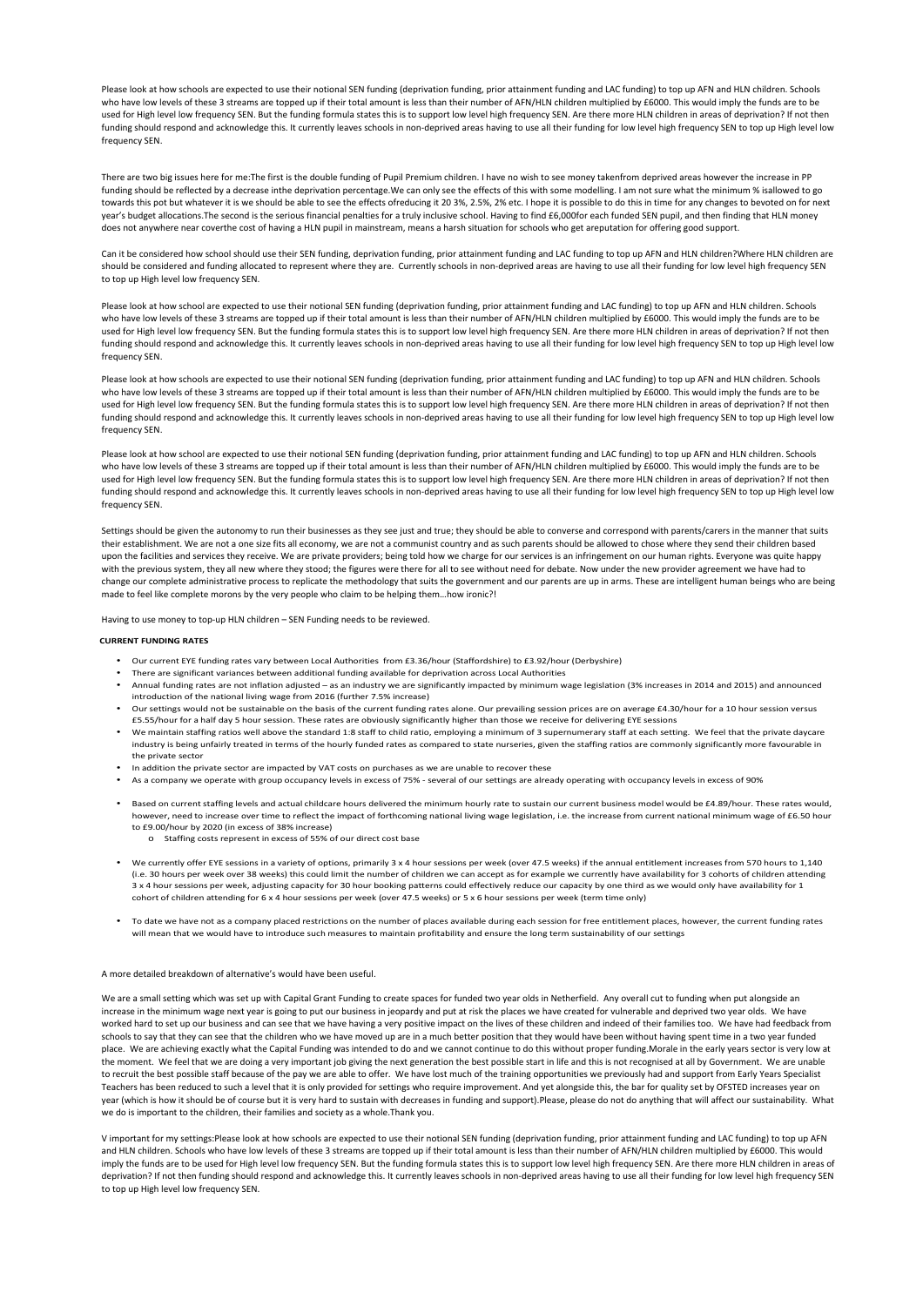Please look at how schools are expected to use their notional SEN funding (deprivation funding, prior attainment funding and LAC funding) to top up AFN and HLN children. Schools who have low levels of these 3 streams are topped up if their total amount is less than their number of AFN/HLN children multiplied by £6000. This would imply the funds are to be used for High level low frequency SEN. But the funding formula states this is to support low level high frequency SEN. Are there more HLN children in areas of deprivation? If not then funding should respond and acknowledge this. It currently leaves schools in non-deprived areas having to use all their funding for low level high frequency SEN to top up High level low frequency SEN.

There are two big issues here for me:The first is the double funding of Pupil Premium children. I have no wish to see money takenfrom deprived areas however the increase in PP funding should be reflected by a decrease inthe deprivation percentage.We can only see the effects of this with some modelling. I am not sure what the minimum % isallowed to go towards this pot but whatever it is we should be able to see the effects ofreducing it 20 3%, 2.5%, 2% etc. I hope it is possible to do this in time for any changes to bevoted on for next year's budget allocations.The second is the serious financial penalties for a truly inclusive school. Having to find £6,000for each funded SEN pupil, and then finding that HLN money does not anywhere near coverthe cost of having a HLN pupil in mainstream, means a harsh situation for schools who get areputation for offering good support.

Can it be considered how school should use their SEN funding, deprivation funding, prior attainment funding and LAC funding to top up AFN and HLN children?Where HLN children are should be considered and funding allocated to represent where they are. Currently schools in non-deprived areas are having to use all their funding for low level high frequency SEN to top up High level low frequency SEN.

Please look at how school are expected to use their notional SEN funding (deprivation funding, prior attainment funding and LAC funding) to top up AFN and HLN children. Schools who have low levels of these 3 streams are topped up if their total amount is less than their number of AFN/HLN children multiplied by £6000. This would imply the funds are to be used for High level low frequency SEN. But the funding formula states this is to support low level high frequency SEN. Are there more HLN children in areas of deprivation? If not then funding should respond and acknowledge this. It currently leaves schools in non-deprived areas having to use all their funding for low level high frequency SEN to top up High level low frequency SEN.

Please look at how schools are expected to use their notional SEN funding (deprivation funding, prior attainment funding and LAC funding) to top up AFN and HLN children. Schools who have low levels of these 3 streams are topped up if their total amount is less than their number of AFN/HLN children multiplied by £6000. This would imply the funds are to be used for High level low frequency SEN. But the funding formula states this is to support low level high frequency SEN. Are there more HLN children in areas of deprivation? If not then funding should respond and acknowledge this. It currently leaves schools in non-deprived areas having to use all their funding for low level high frequency SEN to top up High level low frequency SEN.

Please look at how school are expected to use their notional SEN funding (deprivation funding, prior attainment funding and LAC funding) to top up AFN and HLN children. Schools who have low levels of these 3 streams are topped up if their total amount is less than their number of AFN/HLN children multiplied by £6000. This would imply the funds are to be used for High level low frequency SEN. But the funding formula states this is to support low level high frequency SEN. Are there more HLN children in areas of deprivation? If not then funding should respond and acknowledge this. It currently leaves schools in non-deprived areas having to use all their funding for low level high frequency SEN to top up High level low frequency SEN.

Settings should be given the autonomy to run their businesses as they see just and true; they should be able to converse and correspond with parents/carers in the manner that suits their establishment. We are not a one size fits all economy, we are not a communist country and as such parents should be allowed to chose where they send their children based upon the facilities and services they receive. We are private providers; being told how we charge for our services is an infringement on our human rights. Everyone was quite happy with the previous system, they all new where they stood; the figures were there for all to see without need for debate. Now under the new provider agreement we have had to change our complete administrative process to replicate the methodology that suits the government and our parents are up in arms. These are intelligent human beings who are being made to feel like complete morons by the very people who claim to be helping them…how ironic?!

Having to use money to top-up HLN children – SEN Funding needs to be reviewed.

## **CURRENT FUNDING RATES**

- Our current EYE funding rates vary between Local Authorities from £3.36/hour (Staffordshire) to £3.92/hour (Derbyshire)
- There are significant variances between additional funding available for deprivation across Local Authorities
- Annual funding rates are not inflation adjusted as an industry we are significantly impacted by minimum wage legislation (3% increases in 2014 and 2015) and announced introduction of the national living wage from 2016 (further 7.5% increase)
- Our settings would not be sustainable on the basis of the current funding rates alone. Our prevailing session prices are on average £4.30/hour for a 10 hour session versus £5.55/hour for a half day 5 hour session. These rates are obviously significantly higher than those we receive for delivering EYE sessions
- We maintain staffing ratios well above the standard 1:8 staff to child ratio, employing a minimum of 3 supernumerary staff at each setting. We feel that the private daycare industry is being unfairly treated in terms of the hourly funded rates as compared to state nurseries, given the staffing ratios are commonly significantly more favourable in the private sector
- In addition the private sector are impacted by VAT costs on purchases as we are unable to recover these
- As a company we operate with group occupancy levels in excess of 75% several of our settings are already operating with occupancy levels in excess of 90%
- Based on current staffing levels and actual childcare hours delivered the minimum hourly rate to sustain our current business model would be £4.89/hour. These rates would, however, need to increase over time to reflect the impact of forthcoming national living wage legislation, i.e. the increase from current national minimum wage of £6.50 hour to £9.00/hour by 2020 (in excess of 38% increase)
	- o Staffing costs represent in excess of 55% of our direct cost base
- We currently offer EYE sessions in a variety of options, primarily 3 x 4 hour sessions per week (over 47.5 weeks) if the annual entitlement increases from 570 hours to 1,140 (i.e. 30 hours per week over 38 weeks) this could limit the number of children we can accept as for example we currently have availability for 3 cohorts of children attending 3 x 4 hour sessions per week, adjusting capacity for 30 hour booking patterns could effectively reduce our capacity by one third as we would only have availability for 1 cohort of children attending for 6 x 4 hour sessions per week (over 47.5 weeks) or 5 x 6 hour sessions per week (term time only)
- To date we have not as a company placed restrictions on the number of places available during each session for free entitlement places, however, the current funding rates will mean that we would have to introduce such measures to maintain profitability and ensure the long term sustainability of our settings

## A more detailed breakdown of alternative's would have been useful.

We are a small setting which was set up with Capital Grant Funding to create spaces for funded two year olds in Netherfield. Any overall cut to funding when put alongside an increase in the minimum wage next year is going to put our business in jeopardy and put at risk the places we have created for vulnerable and deprived two year olds. We have worked hard to set up our business and can see that we have having a very positive impact on the lives of these children and indeed of their families too. We have had feedback from schools to say that they can see that the children who we have moved up are in a much better position that they would have been without having spent time in a two year funded place. We are achieving exactly what the Capital Funding was intended to do and we cannot continue to do this without proper funding.Morale in the early years sector is very low at the moment. We feel that we are doing a very important job giving the next generation the best possible start in life and this is not recognised at all by Government. We are unable to recruit the best possible staff because of the pay we are able to offer. We have lost much of the training opportunities we previously had and support from Early Years Specialist Teachers has been reduced to such a level that it is only provided for settings who require improvement. And yet alongside this, the bar for quality set by OFSTED increases year on year (which is how it should be of course but it is very hard to sustain with decreases in funding and support).Please, please do not do anything that will affect our sustainability. What we do is important to the children, their families and society as a whole.Thank you.

V important for my settings:Please look at how schools are expected to use their notional SEN funding (deprivation funding, prior attainment funding and LAC funding) to top up AFN and HLN children. Schools who have low levels of these 3 streams are topped up if their total amount is less than their number of AFN/HLN children multiplied by £6000. This would imply the funds are to be used for High level low frequency SEN. But the funding formula states this is to support low level high frequency SEN. Are there more HLN children in areas of deprivation? If not then funding should respond and acknowledge this. It currently leaves schools in non-deprived areas having to use all their funding for low level high frequency SEN to top up High level low frequency SEN.